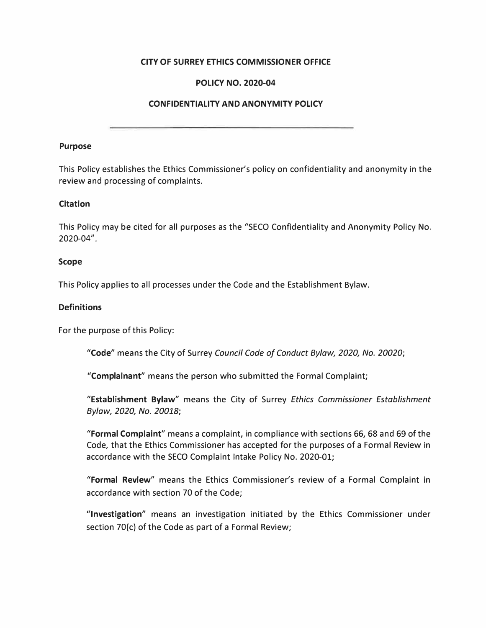## **CITY OF SURREY ETHICS COMMISSIONER OFFICE**

## **POLICY NO. 2020-04**

## **CONFIDENTIALITY AND ANONYMITY POLICY**

#### **Purpose**

This Policy establishes the Ethics Commissioner's policy on confidentiality and anonymity in the review and processing of complaints.

### **Citation**

This Policy may be cited for all purposes as the "SECO Confidentiality and Anonymity Policy No. 2020-04".

#### **Scope**

This Policy applies to all processes under the Code and the Establishment Bylaw.

### **Definitions**

For the purpose of this Policy:

**"Code"** means the City of Surrey *Council Code of Conduct Bylaw, 2020, No. 20020;* 

**"Complainant"** means the person who submitted the Formal Complaint;

**"Establishment Bylaw"** means the City of Surrey *Ethics Commissioner Establishment Bylaw, 2020, No. 20018;* 

**"Formal Complaint"** means a complaint, in compliance with sections 66, 68 and 69 of the Code, that the Ethics Commissioner has accepted for the purposes of a Formal Review in accordance with the SECO Complaint Intake Policy No. 2020-01;

**"Formal Review"** means the Ethics Commissioner's review of a Formal Complaint in accordance with section 70 of the Code;

**"Investigation"** means an investigation initiated by the Ethics Commissioner under section 70(c) of the Code as part of a Formal Review;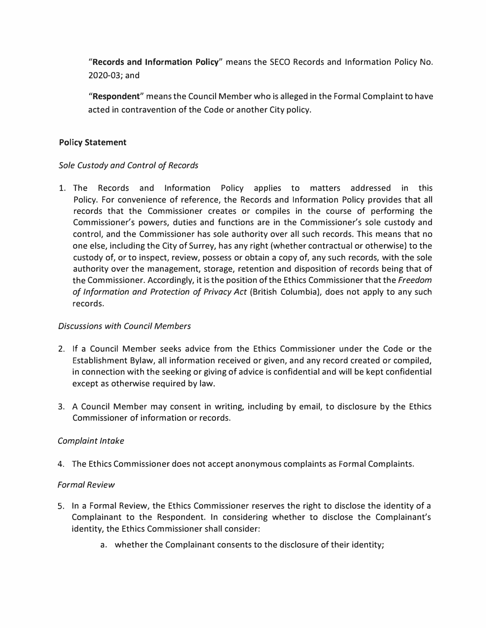**"Records and Information Policy"** means the SECO Records and Information Policy No. 2020-03; and

**"Respondent"** means the Council Member who is alleged in the Formal Complaint to have acted in contravention of the Code or another City policy.

## **Policy Statement**

# *Sole Custody and Control of Records*

1. The Records and Information Policy applies to matters addressed in this Policy. For convenience of reference, the Records and Information Policy provides that all records that the Commissioner creates or compiles in the course of performing the Commissioner's powers, duties and functions are in the Commissioner's sole custody and control, and the Commissioner has sole authority over all such records. This means that no one else, including the City of Surrey, has any right (whether contractual or otherwise) to the custody of, or to inspect, review, possess or obtain a copy of, any such records, with the sole authority over the management, storage, retention and disposition of records being that of the Commissioner. Accordingly, it is the position of the Ethics Commissioner that the *Freedom of Information and Protection of Privacy Act* (British Columbia), does not apply to any such records.

## *Discussions with Council Members*

- 2. If a Council Member seeks advice from the Ethics Commissioner under the Code or the Establishment Bylaw, all information received or given, and any record created or compiled, in connection with the seeking or giving of advice is confidential and will be kept confidential except as otherwise required by law.
- 3. A Council Member may consent in writing, including by email, to disclosure by the Ethics Commissioner of information or records.

# *Complaint Intake*

4. The Ethics Commissioner does not accept anonymous complaints as Formal Complaints.

## *Formal Review*

- 5. In a Formal Review, the Ethics Commissioner reserves the right to disclose the identity of a Complainant to the Respondent. In considering whether to disclose the Complainant's identity, the Ethics Commissioner shall consider:
	- a. whether the Complainant consents to the disclosure of their identity;